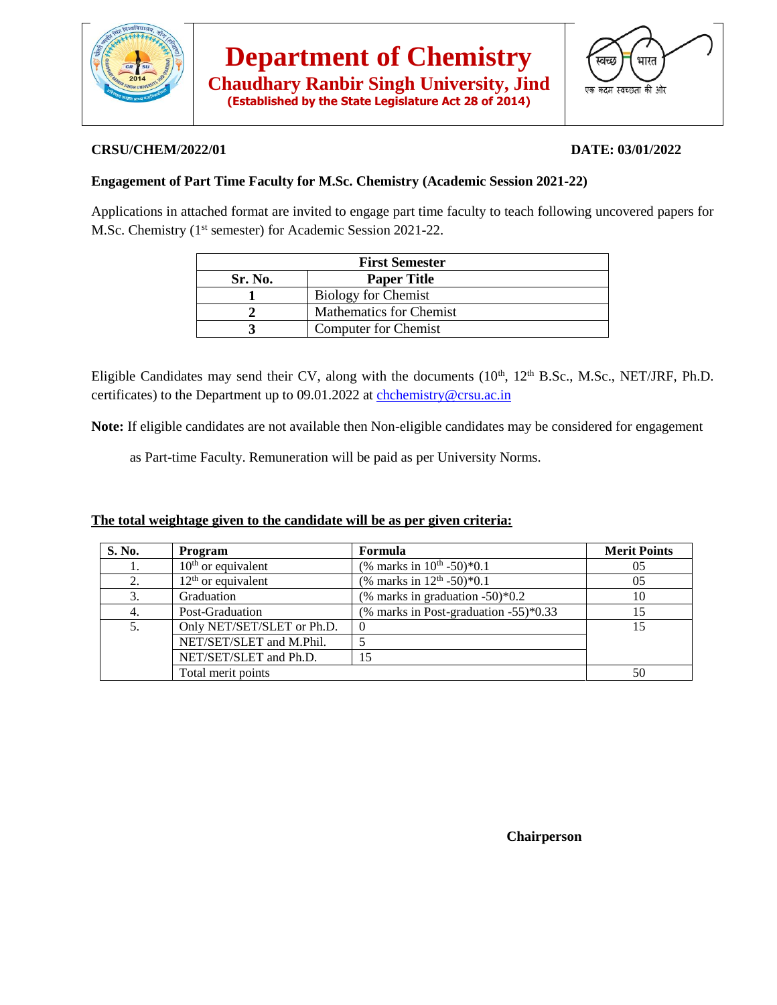

**Chaudhary Ranbir Singh University, Jind (Established by the State Legislature Act 28 of 2014)**



## **CRSU/CHEM/2022/01 DATE: 03/01/2022**

# **Engagement of Part Time Faculty for M.Sc. Chemistry (Academic Session 2021-22)**

Applications in attached format are invited to engage part time faculty to teach following uncovered papers for M.Sc. Chemistry (1<sup>st</sup> semester) for Academic Session 2021-22.

| <b>First Semester</b> |                                |  |  |  |
|-----------------------|--------------------------------|--|--|--|
| Sr. No.               | <b>Paper Title</b>             |  |  |  |
|                       | <b>Biology for Chemist</b>     |  |  |  |
|                       | <b>Mathematics for Chemist</b> |  |  |  |
|                       | Computer for Chemist           |  |  |  |

Eligible Candidates may send their CV, along with the documents (10<sup>th</sup>, 12<sup>th</sup> B.Sc., M.Sc., NET/JRF, Ph.D. certificates) to the Department up to 09.01.2022 at [chchemistry@crsu.ac.in](mailto:chchemistry@crsu.ac.in)

**Note:** If eligible candidates are not available then Non-eligible candidates may be considered for engagement

as Part-time Faculty. Remuneration will be paid as per University Norms.

## **The total weightage given to the candidate will be as per given criteria:**

| S. No. | Program                    | Formula                                  | <b>Merit Points</b> |
|--------|----------------------------|------------------------------------------|---------------------|
|        | $10th$ or equivalent       | (% marks in $10^{th}$ -50)*0.1           | 05                  |
| 2.     | $12th$ or equivalent       | (% marks in $12^{th}$ -50)*0.1           | 05                  |
| 3.     | Graduation                 | (% marks in graduation -50) $*0.2$       | 10                  |
| 4.     | Post-Graduation            | (% marks in Post-graduation $-55$ )*0.33 | 15                  |
| 5.     | Only NET/SET/SLET or Ph.D. | $\left($                                 | 15                  |
|        | NET/SET/SLET and M.Phil.   |                                          |                     |
|        | NET/SET/SLET and Ph.D.     | 15                                       |                     |
|        | Total merit points         |                                          | 50                  |

 **Chairperson**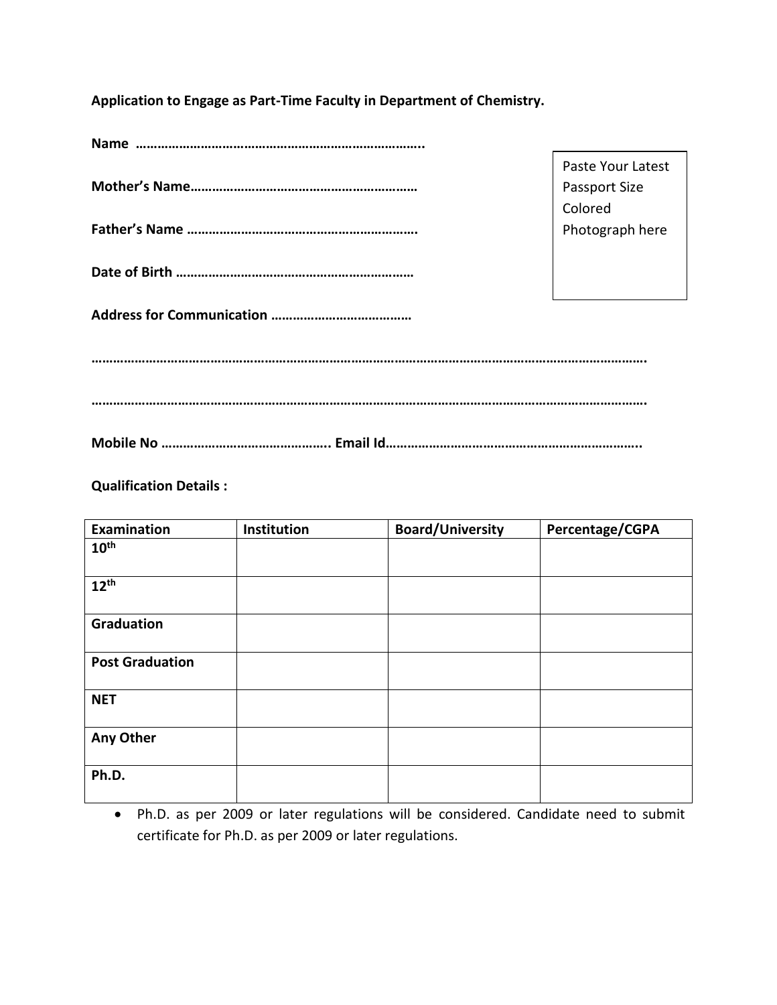**Application to Engage as Part-Time Faculty in Department of Chemistry.**

|  | Paste Your Latest    |  |  |  |  |
|--|----------------------|--|--|--|--|
|  | <b>Passport Size</b> |  |  |  |  |
|  | Colored              |  |  |  |  |
|  | Photograph here      |  |  |  |  |
|  |                      |  |  |  |  |
|  |                      |  |  |  |  |
|  |                      |  |  |  |  |
|  |                      |  |  |  |  |
|  |                      |  |  |  |  |
|  |                      |  |  |  |  |
|  |                      |  |  |  |  |
|  |                      |  |  |  |  |
|  |                      |  |  |  |  |
|  |                      |  |  |  |  |

**Qualification Details :**

| Examination            | Institution | <b>Board/University</b> | Percentage/CGPA |
|------------------------|-------------|-------------------------|-----------------|
| $10^{\text{th}}$       |             |                         |                 |
|                        |             |                         |                 |
| $12^{th}$              |             |                         |                 |
| Graduation             |             |                         |                 |
| <b>Post Graduation</b> |             |                         |                 |
| <b>NET</b>             |             |                         |                 |
| Any Other              |             |                         |                 |
| Ph.D.                  |             |                         |                 |

• Ph.D. as per 2009 or later regulations will be considered. Candidate need to submit certificate for Ph.D. as per 2009 or later regulations.